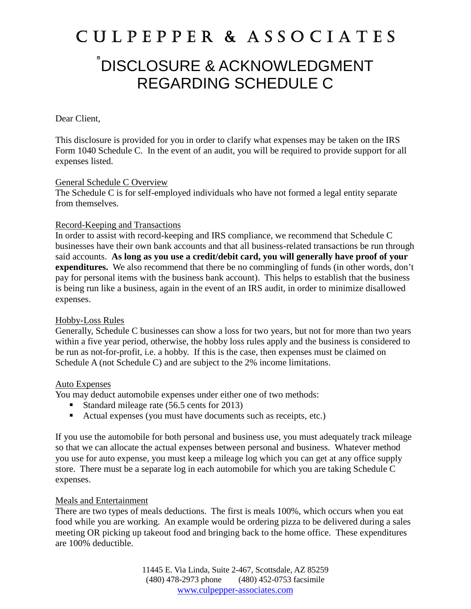## **C U L P E P P E R & A S S O C I A T E S**

### DISCLOSURE & ACKNOWLEDGMENT REGARDING SCHEDULE C

#### Dear Client,

This disclosure is provided for you in order to clarify what expenses may be taken on the IRS Form 1040 Schedule C. In the event of an audit, you will be required to provide support for all expenses listed.

#### General Schedule C Overview

The Schedule C is for self-employed individuals who have not formed a legal entity separate from themselves.

#### Record-Keeping and Transactions

In order to assist with record-keeping and IRS compliance, we recommend that Schedule C businesses have their own bank accounts and that all business-related transactions be run through said accounts. **As long as you use a credit/debit card, you will generally have proof of your expenditures.** We also recommend that there be no commingling of funds (in other words, don't pay for personal items with the business bank account). This helps to establish that the business is being run like a business, again in the event of an IRS audit, in order to minimize disallowed expenses.

#### Hobby-Loss Rules

Generally, Schedule C businesses can show a loss for two years, but not for more than two years within a five year period, otherwise, the hobby loss rules apply and the business is considered to be run as not-for-profit, i.e. a hobby. If this is the case, then expenses must be claimed on Schedule A (not Schedule C) and are subject to the 2% income limitations.

#### Auto Expenses

You may deduct automobile expenses under either one of two methods:

- Standard mileage rate (56.5 cents for 2013)
- Actual expenses (you must have documents such as receipts, etc.)

If you use the automobile for both personal and business use, you must adequately track mileage so that we can allocate the actual expenses between personal and business. Whatever method you use for auto expense, you must keep a mileage log which you can get at any office supply store. There must be a separate log in each automobile for which you are taking Schedule C expenses.

#### Meals and Entertainment

There are two types of meals deductions. The first is meals 100%, which occurs when you eat food while you are working. An example would be ordering pizza to be delivered during a sales meeting OR picking up takeout food and bringing back to the home office. These expenditures are 100% deductible.

> 11445 E. Via Linda, Suite 2-467, Scottsdale, AZ 85259 (480) 478-2973 phone (480) 452-0753 facsimile www.culpepper-associates.com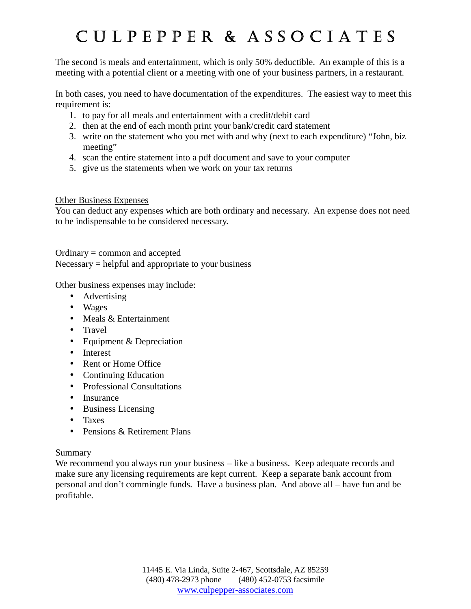# **C U L P E P P E R & A S S O C I A T E S**

The second is meals and entertainment, which is only 50% deductible. An example of this is a meeting with a potential client or a meeting with one of your business partners, in a restaurant.

In both cases, you need to have documentation of the expenditures. The easiest way to meet this requirement is:

- 1. to pay for all meals and entertainment with a credit/debit card
- 2. then at the end of each month print your bank/credit card statement
- 3. write on the statement who you met with and why (next to each expenditure) "John, biz meeting"
- 4. scan the entire statement into a pdf document and save to your computer
- 5. give us the statements when we work on your tax returns

#### Other Business Expenses

You can deduct any expenses which are both ordinary and necessary. An expense does not need to be indispensable to be considered necessary.

#### Ordinary = common and accepted

 $Necessary = helpful$  and appropriate to your business

Other business expenses may include:

- Advertising
- Wages
- $\bullet$  Meals & Entertainment
- Travel
- Equipment & Depreciation
- Interest
- Rent or Home Office
- Continuing Education
- Professional Consultations
- Insurance
- Business Licensing
- Taxes
- Pensions & Retirement Plans

#### Summary

We recommend you always run your business – like a business. Keep adequate records and make sure any licensing requirements are kept current. Keep a separate bank account from personal and don't commingle funds. Have a business plan. And above all – have fun and be profitable.